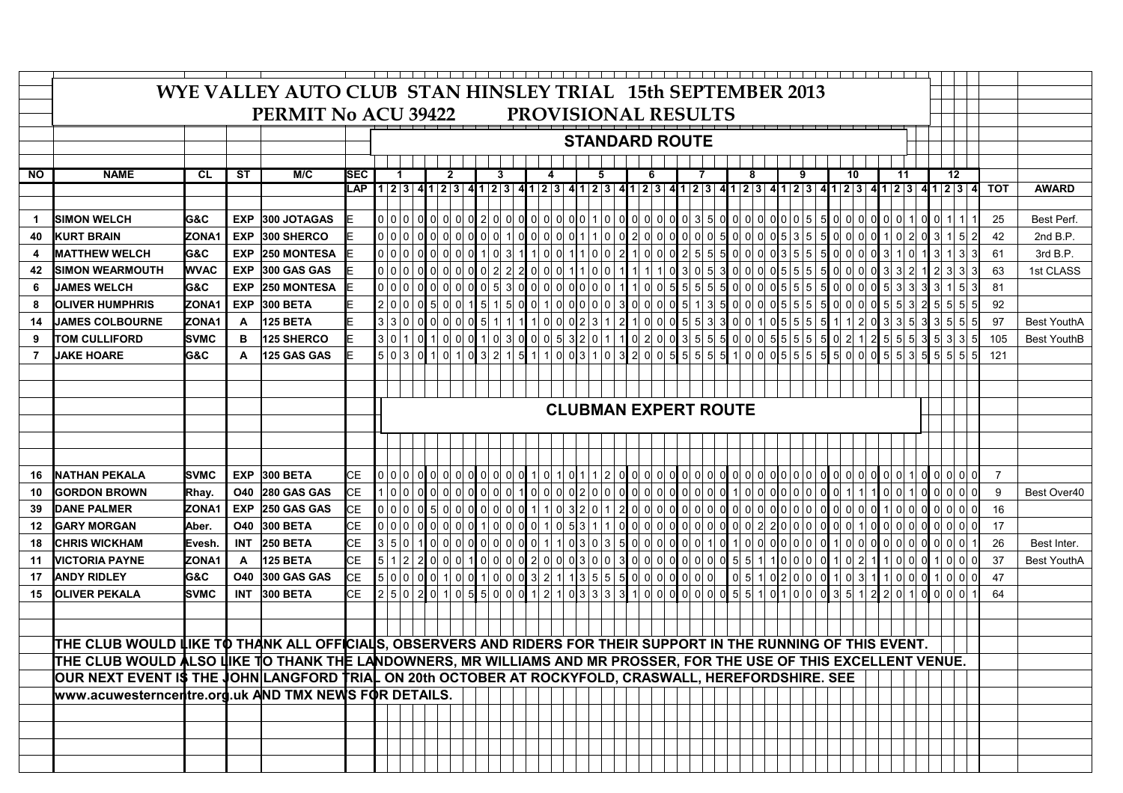|           |                                                                                                                                                                |                |            | WYE VALLEY AUTO CLUB STAN HINSLEY TRIAL 15th SEPTEMBER 2013 |                                                                                                                                                                  |       |  |                |  |  |  |                                                                                                     |  |                             |  |  |  |  |   |  |  |  |    |  |    |  |                                                                                                             |   |                |                    |  |
|-----------|----------------------------------------------------------------------------------------------------------------------------------------------------------------|----------------|------------|-------------------------------------------------------------|------------------------------------------------------------------------------------------------------------------------------------------------------------------|-------|--|----------------|--|--|--|-----------------------------------------------------------------------------------------------------|--|-----------------------------|--|--|--|--|---|--|--|--|----|--|----|--|-------------------------------------------------------------------------------------------------------------|---|----------------|--------------------|--|
|           |                                                                                                                                                                |                |            | PERMIT No ACU 39422                                         |                                                                                                                                                                  |       |  |                |  |  |  | <b>PROVISIONAL RESULTS</b>                                                                          |  |                             |  |  |  |  |   |  |  |  |    |  |    |  |                                                                                                             |   |                |                    |  |
|           |                                                                                                                                                                |                |            |                                                             |                                                                                                                                                                  |       |  |                |  |  |  |                                                                                                     |  |                             |  |  |  |  |   |  |  |  |    |  |    |  |                                                                                                             |   |                |                    |  |
|           |                                                                                                                                                                |                |            |                                                             |                                                                                                                                                                  |       |  |                |  |  |  |                                                                                                     |  | <b>STANDARD ROUTE</b>       |  |  |  |  |   |  |  |  |    |  |    |  |                                                                                                             |   |                |                    |  |
|           |                                                                                                                                                                |                |            |                                                             |                                                                                                                                                                  |       |  |                |  |  |  |                                                                                                     |  |                             |  |  |  |  |   |  |  |  |    |  |    |  |                                                                                                             |   |                |                    |  |
| <b>NO</b> | <b>NAME</b>                                                                                                                                                    | CL             | ST         | M/C                                                         | <b>SEC</b>                                                                                                                                                       |       |  | $\mathfrak{p}$ |  |  |  |                                                                                                     |  | 5                           |  |  |  |  | 8 |  |  |  | 10 |  | 11 |  | 12                                                                                                          |   |                |                    |  |
|           |                                                                                                                                                                |                |            |                                                             | LAP  1  2  3   4 1  2  3   4 1  2  3   4 1  2  3   4 1  2  3   4 1  2  3   4 1  2  3   4 1  2  3   4 1  2  3   4 1  2  3   4 1  2  3   4 1  2  3   4 1  2  3   4 |       |  |                |  |  |  |                                                                                                     |  |                             |  |  |  |  |   |  |  |  |    |  |    |  |                                                                                                             |   | <b>TOT</b>     | <b>AWARD</b>       |  |
| 1         | <b>SIMON WELCH</b>                                                                                                                                             | <b>G&amp;C</b> | <b>EXP</b> | 300 JOTAGAS                                                 |                                                                                                                                                                  |       |  |                |  |  |  |                                                                                                     |  |                             |  |  |  |  |   |  |  |  |    |  |    |  |                                                                                                             |   | 25             | Best Perf.         |  |
| 40        | <b>KURT BRAIN</b>                                                                                                                                              | ZONA1          | <b>EXP</b> | 300 SHERCO                                                  |                                                                                                                                                                  |       |  |                |  |  |  |                                                                                                     |  |                             |  |  |  |  |   |  |  |  |    |  |    |  |                                                                                                             |   | 42             | 2nd B.P.           |  |
| 4         | <b>MATTHEW WELCH</b>                                                                                                                                           | <b>G&amp;C</b> | <b>EXP</b> | <b>250 MONTESA</b>                                          |                                                                                                                                                                  |       |  |                |  |  |  |                                                                                                     |  |                             |  |  |  |  |   |  |  |  |    |  |    |  |                                                                                                             |   | 61             | 3rd B.P.           |  |
| 42        | SIMON WEARMOUTH                                                                                                                                                | <b>WVAC</b>    | <b>EXP</b> | 300 GAS GAS                                                 |                                                                                                                                                                  |       |  |                |  |  |  |                                                                                                     |  |                             |  |  |  |  |   |  |  |  |    |  |    |  | 0 0 0 0 0 0 0 0 0 0 0 0 2 2 2 0 0 0 1 1 0 0 1 1 0 0 1 1 1 0 0 3 0 5 3 0 0 0 0 5 5 5 6 0 0 0 0 3 3 2 1 2 3 3 |   | 63             | 1st CLASS          |  |
| 6         | <b>JAMES WELCH</b>                                                                                                                                             | <b>G&amp;C</b> | <b>EXP</b> | <b>250 MONTESA</b>                                          |                                                                                                                                                                  |       |  |                |  |  |  |                                                                                                     |  |                             |  |  |  |  |   |  |  |  |    |  |    |  |                                                                                                             |   | 81             |                    |  |
| 8         | <b>OLIVER HUMPHRIS</b>                                                                                                                                         | ZONA1          | <b>EXP</b> | 300 BETA                                                    |                                                                                                                                                                  |       |  |                |  |  |  |                                                                                                     |  |                             |  |  |  |  |   |  |  |  |    |  |    |  | 2000050015001500150001600010000030000051350000005                                                           | 5 | 92             |                    |  |
| 14        | <b>JAMES COLBOURNE</b>                                                                                                                                         | <b>ZONA1</b>   | A          | <b>125 BETA</b>                                             |                                                                                                                                                                  |       |  |                |  |  |  |                                                                                                     |  |                             |  |  |  |  |   |  |  |  |    |  |    |  |                                                                                                             |   | 97             | <b>Best YouthA</b> |  |
| 9         | <b>TOM CULLIFORD</b>                                                                                                                                           | <b>SVMC</b>    | B          | 125 SHERCO                                                  |                                                                                                                                                                  |       |  |                |  |  |  |                                                                                                     |  |                             |  |  |  |  |   |  |  |  |    |  |    |  |                                                                                                             |   | 105            | <b>Best YouthB</b> |  |
| 7         | <b>JAKE HOARE</b>                                                                                                                                              | <b>G&amp;C</b> |            | <b>125 GAS GAS</b>                                          |                                                                                                                                                                  |       |  |                |  |  |  |                                                                                                     |  |                             |  |  |  |  |   |  |  |  |    |  |    |  |                                                                                                             |   | 121            |                    |  |
|           |                                                                                                                                                                |                |            |                                                             |                                                                                                                                                                  |       |  |                |  |  |  |                                                                                                     |  |                             |  |  |  |  |   |  |  |  |    |  |    |  |                                                                                                             |   |                |                    |  |
|           |                                                                                                                                                                |                |            |                                                             |                                                                                                                                                                  |       |  |                |  |  |  |                                                                                                     |  |                             |  |  |  |  |   |  |  |  |    |  |    |  |                                                                                                             |   |                |                    |  |
|           |                                                                                                                                                                |                |            |                                                             |                                                                                                                                                                  |       |  |                |  |  |  |                                                                                                     |  | <b>CLUBMAN EXPERT ROUTE</b> |  |  |  |  |   |  |  |  |    |  |    |  |                                                                                                             |   |                |                    |  |
|           |                                                                                                                                                                |                |            |                                                             |                                                                                                                                                                  |       |  |                |  |  |  |                                                                                                     |  |                             |  |  |  |  |   |  |  |  |    |  |    |  |                                                                                                             |   |                |                    |  |
|           |                                                                                                                                                                |                |            |                                                             |                                                                                                                                                                  |       |  |                |  |  |  |                                                                                                     |  |                             |  |  |  |  |   |  |  |  |    |  |    |  |                                                                                                             |   |                |                    |  |
|           |                                                                                                                                                                |                |            |                                                             |                                                                                                                                                                  |       |  |                |  |  |  |                                                                                                     |  |                             |  |  |  |  |   |  |  |  |    |  |    |  |                                                                                                             |   |                |                    |  |
| 16        | NATHAN PEKALA                                                                                                                                                  | Isvmc          | <b>EXP</b> | <b>300 BETA</b>                                             | IСE                                                                                                                                                              |       |  |                |  |  |  |                                                                                                     |  |                             |  |  |  |  |   |  |  |  |    |  |    |  |                                                                                                             |   | $\overline{7}$ |                    |  |
| 10        | <b>GORDON BROWN</b>                                                                                                                                            | Rhay.          |            | <b>040 280 GAS GAS</b>                                      | IСE                                                                                                                                                              |       |  |                |  |  |  |                                                                                                     |  |                             |  |  |  |  |   |  |  |  |    |  |    |  |                                                                                                             |   | 9              | Best Over40        |  |
| 39        | <b>DANE PALMER</b>                                                                                                                                             | ZONA1          |            | EXP 250 GAS GAS                                             | IСE                                                                                                                                                              |       |  |                |  |  |  |                                                                                                     |  |                             |  |  |  |  |   |  |  |  |    |  |    |  |                                                                                                             |   | 16             |                    |  |
| 12        | <b>GARY MORGAN</b>                                                                                                                                             | Aber.          |            | 040 300 BETA                                                |                                                                                                                                                                  |       |  |                |  |  |  |                                                                                                     |  |                             |  |  |  |  |   |  |  |  |    |  |    |  |                                                                                                             |   | 17             |                    |  |
| 18        | CHRIS WICKHAM                                                                                                                                                  | Evesh.         | <b>INT</b> | <b>250 BETA</b>                                             |                                                                                                                                                                  | $350$ |  |                |  |  |  | 1 0 0 0 0 0 0 0 0 0 0 0 0 1 1 0 3 0 3 5 0 0 0 0 0 0 0 1 0 1 0 1 0 0 0 0 0 0 1 0 1 0 0 0 0 0 0 0 0 0 |  |                             |  |  |  |  |   |  |  |  |    |  |    |  |                                                                                                             |   | 26             | Best Inter.        |  |
| 11        | <b>VICTORIA PAYNE</b>                                                                                                                                          | ZONA1          | A          | 125 BETA                                                    | IСE                                                                                                                                                              |       |  |                |  |  |  |                                                                                                     |  |                             |  |  |  |  |   |  |  |  |    |  |    |  |                                                                                                             |   | 37             | <b>Best YouthA</b> |  |
| 17        | ANDY RIDLEY                                                                                                                                                    | G&C            | <b>O40</b> | 300 GAS GAS                                                 | IСE                                                                                                                                                              |       |  |                |  |  |  |                                                                                                     |  |                             |  |  |  |  |   |  |  |  |    |  |    |  | 5000010100100100100032113555000000000001051020001031100000100                                               |   | 47             |                    |  |
| 15        | <b>OLIVER PEKALA</b>                                                                                                                                           | <b>SVMC</b>    | <b>INT</b> | 300 BETA                                                    |                                                                                                                                                                  |       |  |                |  |  |  |                                                                                                     |  |                             |  |  |  |  |   |  |  |  |    |  |    |  |                                                                                                             |   | 64             |                    |  |
|           |                                                                                                                                                                |                |            |                                                             |                                                                                                                                                                  |       |  |                |  |  |  |                                                                                                     |  |                             |  |  |  |  |   |  |  |  |    |  |    |  |                                                                                                             |   |                |                    |  |
|           |                                                                                                                                                                |                |            |                                                             |                                                                                                                                                                  |       |  |                |  |  |  |                                                                                                     |  |                             |  |  |  |  |   |  |  |  |    |  |    |  |                                                                                                             |   |                |                    |  |
|           | THE CLUB WOULD LIKE TO THANK ALL OFFICIALS, OBSERVERS AND RIDERS FOR THEIR SUPPORT IN THE RUNNING OF THIS EVENT.                                               |                |            |                                                             |                                                                                                                                                                  |       |  |                |  |  |  |                                                                                                     |  |                             |  |  |  |  |   |  |  |  |    |  |    |  |                                                                                                             |   |                |                    |  |
|           | THE CLUB WOULD ALSO 山KE TO THANK THE LANDOWNERS, MR WILLIAMS AND MR PROSSER, FOR THE USE OF THIS EXCELLENT VENUE.                                              |                |            |                                                             |                                                                                                                                                                  |       |  |                |  |  |  |                                                                                                     |  |                             |  |  |  |  |   |  |  |  |    |  |    |  |                                                                                                             |   |                |                    |  |
|           | OUR NEXT EVENT I\$ THE JOHN LANGFORD TRIAL ON 20th OCTOBER AT ROCKYFOLD, CRASWALL, HEREFORDSHIRE. SEE<br>www.acuwesterncentre.org.uk AND TMX NEWS FOR DETAILS. |                |            |                                                             |                                                                                                                                                                  |       |  |                |  |  |  |                                                                                                     |  |                             |  |  |  |  |   |  |  |  |    |  |    |  |                                                                                                             |   |                |                    |  |
|           |                                                                                                                                                                |                |            |                                                             |                                                                                                                                                                  |       |  |                |  |  |  |                                                                                                     |  |                             |  |  |  |  |   |  |  |  |    |  |    |  |                                                                                                             |   |                |                    |  |
|           |                                                                                                                                                                |                |            |                                                             |                                                                                                                                                                  |       |  |                |  |  |  |                                                                                                     |  |                             |  |  |  |  |   |  |  |  |    |  |    |  |                                                                                                             |   |                |                    |  |
|           |                                                                                                                                                                |                |            |                                                             |                                                                                                                                                                  |       |  |                |  |  |  |                                                                                                     |  |                             |  |  |  |  |   |  |  |  |    |  |    |  |                                                                                                             |   |                |                    |  |
|           |                                                                                                                                                                |                |            |                                                             |                                                                                                                                                                  |       |  |                |  |  |  |                                                                                                     |  |                             |  |  |  |  |   |  |  |  |    |  |    |  |                                                                                                             |   |                |                    |  |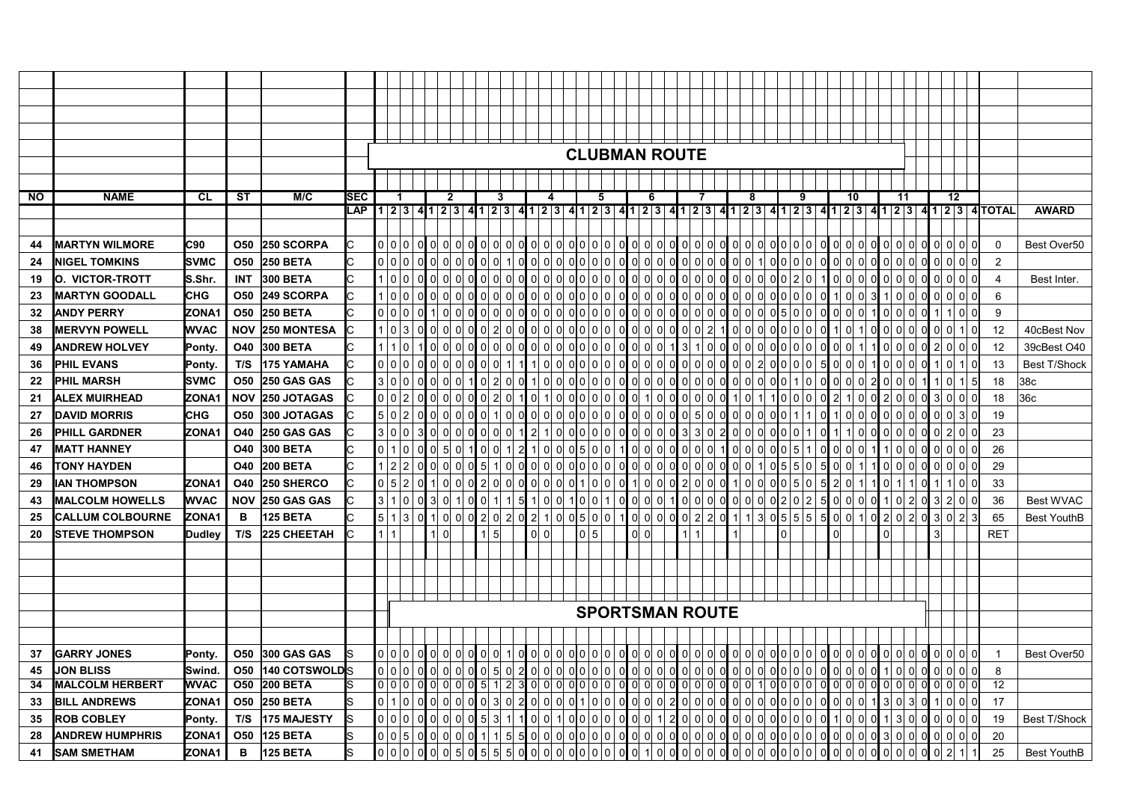|           |                         |               |                 |                        |             |     |                           |                                               |                |                    |                                |                |                                     |   |                                      |     |  |                                                                            | <b>CLUBMAN ROUTE</b>          |     |              |                                                                                                                                                                                                                                                                     |          |             |              |                                 |          |          |                |              |                                     |          |                     |                |                    |
|-----------|-------------------------|---------------|-----------------|------------------------|-------------|-----|---------------------------|-----------------------------------------------|----------------|--------------------|--------------------------------|----------------|-------------------------------------|---|--------------------------------------|-----|--|----------------------------------------------------------------------------|-------------------------------|-----|--------------|---------------------------------------------------------------------------------------------------------------------------------------------------------------------------------------------------------------------------------------------------------------------|----------|-------------|--------------|---------------------------------|----------|----------|----------------|--------------|-------------------------------------|----------|---------------------|----------------|--------------------|
|           |                         |               |                 |                        |             |     |                           |                                               |                |                    |                                |                |                                     |   |                                      |     |  |                                                                            |                               |     |              |                                                                                                                                                                                                                                                                     |          |             |              |                                 |          |          |                |              |                                     |          |                     |                |                    |
|           |                         |               |                 |                        |             |     |                           |                                               |                |                    |                                |                |                                     |   |                                      |     |  |                                                                            |                               |     |              |                                                                                                                                                                                                                                                                     |          |             |              |                                 |          |          |                |              |                                     |          |                     |                |                    |
| <b>NO</b> | <b>NAME</b>             | CL            | ST              | M/C                    | <b>ISEC</b> |     | 1                         |                                               | $\overline{2}$ |                    | 3                              |                |                                     | 4 |                                      | 5   |  | 6                                                                          |                               |     |              | 8                                                                                                                                                                                                                                                                   |          | 9           |              |                                 | 10       |          | 11             |              |                                     | 12       |                     |                |                    |
|           |                         |               |                 |                        | <b>LAP</b>  |     |                           |                                               |                |                    |                                |                |                                     |   |                                      |     |  |                                                                            |                               |     |              | $123   4123   4123   4123   4123   4123   4123   4123   4123   4123   4123   4123   4123   4123   4123   4123   4123   4123   4123   4123   4123   4123   4123   4123   4123   4123   4123   4123   4123   4123   4123   4123   4123   4123   4123   4123   4123  $ |          |             |              |                                 |          |          |                |              |                                     |          |                     | <b>4</b> TOTAL | <b>AWARD</b>       |
|           |                         |               |                 |                        |             |     |                           |                                               |                |                    |                                |                |                                     |   |                                      |     |  |                                                                            |                               |     |              |                                                                                                                                                                                                                                                                     |          |             |              |                                 |          |          |                |              |                                     |          |                     |                |                    |
| 44        | <b>MARTYN WILMORE</b>   | C90           |                 | <b>050 250 SCORPA</b>  |             |     |                           |                                               |                |                    |                                |                |                                     |   |                                      |     |  |                                                                            |                               |     |              |                                                                                                                                                                                                                                                                     |          |             |              |                                 |          |          |                |              |                                     |          | $\overline{0}$      | $\mathsf{O}$   | Best Over50        |
| 24        | <b>NIGEL TOMKINS</b>    | <b>SVMC</b>   | <b>O50</b>      | <b>250 BETA</b>        |             |     |                           |                                               |                |                    |                                |                |                                     |   |                                      |     |  |                                                                            |                               |     |              |                                                                                                                                                                                                                                                                     |          |             |              |                                 |          |          |                |              |                                     |          |                     | $\overline{2}$ |                    |
| 19        | O. VICTOR-TROTT         | S.Shr.        | <b>INT</b>      | 300 BETA               |             |     | 1 0 0                     | $0$ 0 $0$ 0 $0$                               |                |                    | 0 0 0 0                        |                | 0 0 0                               |   | 0 0 0 0                              |     |  | $0$ $0$ $0$ $0$                                                            | 0 0 0 0                       |     |              | 0 0 0 0                                                                                                                                                                                                                                                             | 0 0 2 0  |             |              | 1000                            |          |          | 0 0 0 0        |              | $0$ 0 $0$ 0 $0$                     |          |                     | $\overline{4}$ | Best Inter.        |
| 23        | <b>MARTYN GOODALL</b>   | CHG           | <b>O50</b>      | <b>249 SCORPA</b>      |             |     | 0 0                       | $0$ $0$ $0$ $0$ $0$                           |                |                    | 0 0 0 0                        |                | $\Omega$ $\Omega$ $\Omega$ $\Omega$ |   | 0 0 0 0                              |     |  | $0$ $0$ $0$ $0$                                                            | $ol$ $ol$ $ol$ $ol$           |     |              | $ol$ $ol$ $ol$ $ol$                                                                                                                                                                                                                                                 | 0 0 0 0  |             | $\Omega$     | 0                               | $\Omega$ |          | ol ol          |              | $0$ $0$ $0$ $0$                     |          | $\Omega$            | 6              |                    |
| 32        | <b>ANDY PERRY</b>       | ZONA1         | <b>O50</b>      | <b>250 BETA</b>        |             |     | 0 0 0                     | $0$ 1 $0$ $0$                                 |                |                    | 0 0 0 0                        |                | 0 0 0 0                             |   | 0 0 0 0                              |     |  | 0 0 0 0                                                                    |                               |     |              |                                                                                                                                                                                                                                                                     | 0.51010  |             |              | 00000                           |          |          | 1000           | $\Omega$     |                                     |          | $\overline{0}$<br>0 | 9              |                    |
| 38        | <b>MERVYN POWELL</b>    | <b>WVAC</b>   |                 | <b>NOV 250 MONTESA</b> |             |     | 1 0 3                     | $0$ $0$ $0$ $0$ $0$                           |                |                    | 0 0 2 0                        |                | 0 0 0 0                             |   | 0 0 0 0                              |     |  | $0$ $0$ $0$ $0$ $0$                                                        | $ 0 $ $ 0 $ $ 2 $             |     |              | 1000                                                                                                                                                                                                                                                                | 0 0 0 0  |             |              | $\Omega$                        |          |          | 0000           |              | $\Omega$                            | $\Omega$ | $\Omega$            | 12             | 40cBest Nov        |
| 49        | <b>ANDREW HOLVEY</b>    | Ponty.        |                 | O40 300 BETA           |             |     | 0                         | 10000                                         |                |                    | <u>of of of of of of of of</u> |                |                                     |   | 0 0 0 0                              |     |  | $0$ $0$ $0$ $0$ $0$                                                        | 113                           | 1 0 |              | 0 0 0 0                                                                                                                                                                                                                                                             | 0 0 0    | $\mathbf 0$ | $\Omega$     | -01 O                           |          |          | 0   0   0      |              |                                     | 2 0 0    | $\overline{0}$      | 12             | 39cBest O40        |
| 36        | <b>PHIL EVANS</b>       | Ponty.        | T/S             | 175 YAMAHA             |             |     | 0 0 0                     | $0$ $0$ $0$ $0$ $0$                           |                |                    | 00001                          |                |                                     |   | 11100000000                          |     |  |                                                                            |                               |     |              | 0 0 0 0 0 0 0 0 0 0 0 2                                                                                                                                                                                                                                             | 0 0 0 0  |             |              | 5000                            |          |          | 10000          | $\Omega$     |                                     | $ 0 $ 1  | $\mathbf{0}$        | 13             | Best T/Shock       |
| 22        | <b>PHIL MARSH</b>       | <b>SVMC</b>   | <b>O50</b>      | <b>250 GAS GAS</b>     |             |     | 3 0 0                     | 00000                                         |                |                    |                                |                |                                     |   | 1020010000000                        |     |  |                                                                            |                               |     |              | 0 0 0 0 0 0 0 0 0 0 0 0                                                                                                                                                                                                                                             | 0 0 1 0  |             |              | 0 0 0 0                         |          |          | 20000          |              |                                     | $ 0 $ 1  | 5                   | 18             | 38c                |
| 21        | <b>ALEX MUIRHEAD</b>    | ZONA1         |                 | NOV 250 JOTAGAS        |             |     | 0 0 2                     | $0$ $0$ $0$ $0$                               |                |                    | 0 0 2 0                        |                | 이 1  이                              |   | 0 0 0 0                              |     |  | $0$ 0 1 0                                                                  | 0 0 0 0                       |     | $\mathbf{0}$ | 1 0                                                                                                                                                                                                                                                                 | 10000    |             | 0I           | 2 1                             | -0       |          | 0 2 0 0        |              | 0 3 0 0                             |          |                     | 18             | 36c                |
| 27        | <b>DAVID MORRIS</b>     | <b>CHG</b>    | <b>O50</b>      | 300 JOTAGAS            |             |     | 5 0 2                     | $0$ $0$ $0$ $0$ $0$                           |                |                    | 0 0 1 0 0 0 0 0                |                |                                     |   | 0 0 0 0                              |     |  |                                                                            |                               |     |              | $\begin{bmatrix} 0 & 0 & 0 & 0 & 0 & 0 & 0 & 5 & 0 & 0 & 0 & 0 & 0 \end{bmatrix}$                                                                                                                                                                                   | 0 0 1    |             | $\mathbf{0}$ | 1 0 0                           |          |          | 00000          |              | $0$ 0 0 3                           |          | $\overline{0}$      | 19             |                    |
| 26        | PHILL GARDNER           | ZONA1         | O40             | 250 GAS GAS            |             |     | 3 0 0                     | 3000                                          |                |                    | 00000                          |                | 1 2 1 0                             |   | 0 0 0 0                              |     |  | $\overline{0}$ $\overline{0}$ $\overline{0}$ $\overline{0}$ $\overline{0}$ | $0 \mid 3 \mid 3 \mid 0 \mid$ |     |              | 2000                                                                                                                                                                                                                                                                | 0 0 0    |             | $\mathbf{0}$ |                                 | 11 Ol    |          | <b>OLO</b> 0 0 |              | 0 0 2 0                             |          | 0                   | 23             |                    |
| 47        | <b>MATT HANNEY</b>      |               |                 | O40 300 BETA           |             |     | 0 1 0                     | $0$ 0 5 0                                     |                |                    | 10001                          |                |                                     |   | 2 1 0 0 0 5 0 0                      |     |  |                                                                            | 1000000000                    |     |              | 1000                                                                                                                                                                                                                                                                | 0 0 5 1  |             |              | 00000                           |          |          | 11100          |              | $\Omega$ $\Omega$ $\Omega$ $\Omega$ |          | $\overline{0}$      | 26             |                    |
| 46        | <b>TONY HAYDEN</b>      |               | <b>O40</b>      | <b>200 BETA</b>        |             |     | 1 2 2                     | $0$ $0$ $0$ $0$                               |                |                    |                                |                |                                     |   | 0 5 1 0 0 0 0 0 0 0 0 0              |     |  |                                                                            |                               |     |              | 00000000000000                                                                                                                                                                                                                                                      | 0 5 5 0  |             |              | 50001                           |          |          | lololol        |              | 0 0 0 0                             |          | $\overline{0}$      | 29             |                    |
| 29        | <b>IAN THOMPSON</b>     | ZONA1         | <b>O40</b>      | 250 SHERCO             |             |     | 0 5 2 0 1 00              |                                               |                |                    |                                |                |                                     |   | 0 2 0 0 0 0 0 0 0 1 0 0              |     |  |                                                                            |                               |     |              | 0 1 0 0 0 2 0 0 1 0 0 0 0 5 0                                                                                                                                                                                                                                       |          |             |              | $5$ 2 0 1                       |          |          | 10111          | $\mathbf{0}$ |                                     | 1 1 0    | $\overline{0}$      | 33             |                    |
| 43        | <b>MALCOLM HOWELLS</b>  | <b>WVAC</b>   |                 | NOV 250 GAS GAS        |             |     | 3 1 0                     | $0 \ 3 \ 0 \ 1$                               |                | $\mathbf{0}$<br> 0 |                                | 5 <sub>l</sub> | 1 0 0                               |   | 1 0 0 1                              |     |  | $0$ $0$ $0$ $0$ $0$                                                        |                               |     |              | 1000000000                                                                                                                                                                                                                                                          | 0 2 0 2  |             |              | 5000                            |          |          | 0 1 0 2        | $\mathbf{0}$ |                                     | 3 2 0    |                     | 36             | Best WVAC          |
| 25        | <b>CALLUM COLBOURNE</b> | ZONA1         | В               | <b>125 BETA</b>        |             | 5 1 | 3                         | 1 0 0                                         |                |                    | 0 2 0 2                        |                | 0 2 1 0                             |   | 0500                                 |     |  |                                                                            | 1000000220                    |     |              | 1 1 3                                                                                                                                                                                                                                                               | 0 5 5 5  |             |              | 5 0 0                           |          |          | 0 2 0 2        |              | $0 \ 3 \ 0 \ 2$                     |          |                     | 65             | <b>Best YouthB</b> |
| 20        | <b>STEVE THOMPSON</b>   | <b>Dudley</b> | T/S             | 225 CHEETAH            |             |     |                           | $\Omega$                                      |                |                    | 5 <sup>1</sup>                 |                | 0                                   |   |                                      | 0 5 |  | $ 0 $ 0                                                                    |                               |     |              |                                                                                                                                                                                                                                                                     | $\Omega$ |             |              | $\Omega$                        |          | $\Omega$ |                |              | $\mathbf{B}$                        |          |                     | <b>RET</b>     |                    |
|           |                         |               |                 |                        |             |     |                           |                                               |                |                    |                                |                |                                     |   |                                      |     |  |                                                                            |                               |     |              |                                                                                                                                                                                                                                                                     |          |             |              |                                 |          |          |                |              |                                     |          |                     |                |                    |
|           |                         |               |                 |                        |             |     |                           |                                               |                |                    |                                |                |                                     |   |                                      |     |  |                                                                            |                               |     |              |                                                                                                                                                                                                                                                                     |          |             |              |                                 |          |          |                |              |                                     |          |                     |                |                    |
|           |                         |               |                 |                        |             |     |                           |                                               |                |                    |                                |                |                                     |   |                                      |     |  |                                                                            |                               |     |              |                                                                                                                                                                                                                                                                     |          |             |              |                                 |          |          |                |              |                                     |          |                     |                |                    |
|           |                         |               |                 |                        |             |     |                           |                                               |                |                    |                                |                |                                     |   |                                      |     |  |                                                                            |                               |     |              |                                                                                                                                                                                                                                                                     |          |             |              |                                 |          |          |                |              |                                     |          |                     |                |                    |
|           |                         |               |                 |                        |             |     |                           |                                               |                |                    |                                |                |                                     |   |                                      |     |  |                                                                            | <b>SPORTSMAN ROUTE</b>        |     |              |                                                                                                                                                                                                                                                                     |          |             |              |                                 |          |          |                |              |                                     |          |                     |                |                    |
|           |                         |               |                 |                        |             |     |                           |                                               |                |                    |                                |                |                                     |   |                                      |     |  |                                                                            |                               |     |              |                                                                                                                                                                                                                                                                     |          |             |              |                                 |          |          |                |              |                                     |          |                     |                |                    |
| 37        | <b>GARRY JONES</b>      | Ponty.        |                 | <b>O50 300 GAS GAS</b> |             |     | 0 0 0                     | $\Omega$ of a solicitor $\Omega$ and $\Omega$ |                |                    |                                |                |                                     |   | $\log$ of $\log$ of $\log$ of $\log$ |     |  |                                                                            |                               |     |              | 000000000000000000000000000000                                                                                                                                                                                                                                      |          |             |              |                                 |          |          |                |              | $0$ 0 $0$ $0$ $0$                   |          | $\Omega$            | $\overline{1}$ | Best Over50        |
| 45        | <b>JON BLISS</b>        | Swind.        | <b>O50</b>      | 140 COTSWOLDS          |             |     | 0 0 0 0 0 0               |                                               |                |                    |                                |                |                                     |   | 0 0 5 0 2 0 0 0 0 0 0 0              |     |  |                                                                            |                               |     |              |                                                                                                                                                                                                                                                                     |          |             |              | $\circ$ $\circ$ $\circ$ $\circ$ |          |          | $ 1 $ $ 0 $    |              | $\circ$ $\circ$ $\circ$ $\circ$     |          |                     | 8              |                    |
| 34        | <b>MALCOLM HERBERT</b>  | <b>WVAC</b>   | <b>O50</b>      | <b>200 BETA</b>        |             |     |                           |                                               |                |                    |                                |                |                                     |   |                                      |     |  |                                                                            |                               |     |              |                                                                                                                                                                                                                                                                     |          |             |              |                                 |          |          |                |              |                                     |          |                     | 12             |                    |
| 33        | <b>BILL ANDREWS</b>     | ZONA1         | O <sub>50</sub> | <b>250 BETA</b>        |             |     | $\overline{0}$            | 00000                                         |                |                    | 0 0 3 0                        |                | $21$ of of of                       |   | $0 \mid 1 \mid 0 \mid 0$             |     |  | $\overline{0}$ $\overline{0}$ $\overline{0}$ $\overline{0}$ $\overline{0}$ |                               |     |              | 2 0 0 0 0 0 0 0 0 0 0 0 0                                                                                                                                                                                                                                           |          |             |              | 0 0 0 0                         |          |          | 3  0  3        |              |                                     | 11 OI O  | $\Omega$            | 17             |                    |
| 35        | <b>ROB COBLEY</b>       | Ponty.        | T/S             | 175 MAJESTY            |             |     | 000                       | 0000                                          |                |                    | 0 5 3 1                        |                |                                     |   | 1001100000                           |     |  |                                                                            |                               |     |              | 0 0 0 1 2 0 0 0 0 0 0 0 0 0 0 0 0                                                                                                                                                                                                                                   |          |             |              | $0$   1 $0$   0 $1$             |          |          | $0$ 1 3 0      |              | 0000                                |          | 0                   | 19             | Best T/Shock       |
| 28        | <b>ANDREW HUMPHRIS</b>  | ZONA1         | <b>O50</b>      | <b>125 BETA</b>        |             |     | 0   0   5   0   0   0   0 |                                               |                |                    |                                |                |                                     |   |                                      |     |  |                                                                            |                               |     |              |                                                                                                                                                                                                                                                                     |          |             |              |                                 |          |          |                |              |                                     |          |                     | 20             |                    |
| 41        | <b>SAM SMETHAM</b>      | ZONA1         | В               | 125 BETA               |             |     |                           |                                               |                |                    |                                |                |                                     |   |                                      |     |  |                                                                            |                               |     |              |                                                                                                                                                                                                                                                                     |          |             |              |                                 |          |          |                |              |                                     |          |                     | 25             | <b>Best YouthB</b> |